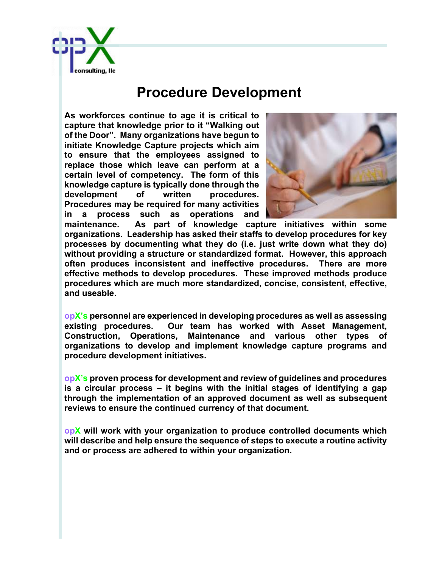

## **Procedure Development**

**As workforces continue to age it is critical to capture that knowledge prior to it "Walking out of the Door". Many organizations have begun to initiate Knowledge Capture projects which aim to ensure that the employees assigned to replace those which leave can perform at a certain level of competency. The form of this knowledge capture is typically done through the**  development of written procedures. **Procedures may be required for many activities in a process such as operations and** 



**maintenance. As part of knowledge capture initiatives within some organizations. Leadership has asked their staffs to develop procedures for key processes by documenting what they do (i.e. just write down what they do) without providing a structure or standardized format. However, this approach often produces inconsistent and ineffective procedures. There are more effective methods to develop procedures. These improved methods produce procedures which are much more standardized, concise, consistent, effective, and useable.**

**opX's personnel are experienced in developing procedures as well as assessing existing procedures. Our team has worked with Asset Management, Construction, Operations, Maintenance and various other types of organizations to develop and implement knowledge capture programs and procedure development initiatives.**

**opX's proven process for development and review of guidelines and procedures is a circular process – it begins with the initial stages of identifying a gap through the implementation of an approved document as well as subsequent reviews to ensure the continued currency of that document.**

**opX will work with your organization to produce controlled documents which will describe and help ensure the sequence of steps to execute a routine activity and or process are adhered to within your organization.**